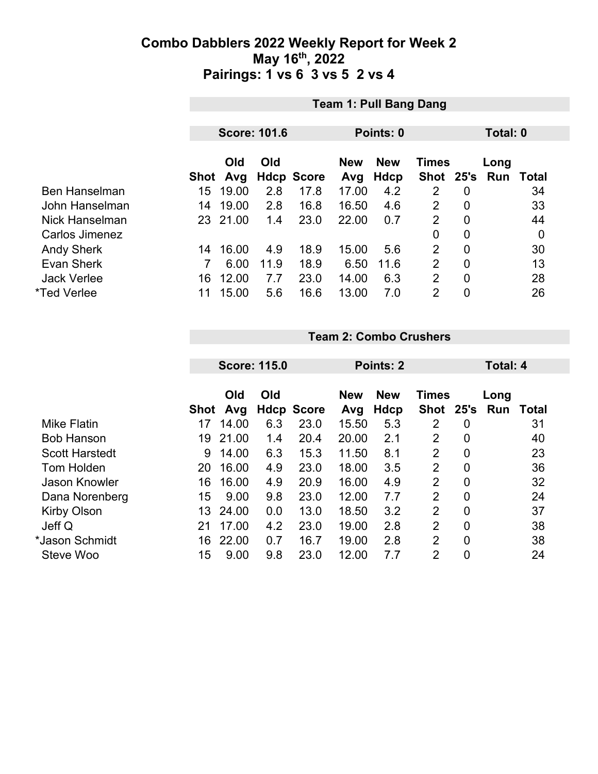|                      |             | <b>Team 1: Pull Bang Dang</b>   |      |                   |       |            |                |                |            |                  |
|----------------------|-------------|---------------------------------|------|-------------------|-------|------------|----------------|----------------|------------|------------------|
|                      |             |                                 |      |                   |       |            |                |                | Total: 0   |                  |
|                      |             | <b>Score: 101.6</b>             |      |                   |       | Points: 0  |                |                |            |                  |
|                      |             | Old<br><b>Old</b><br><b>New</b> |      |                   |       | <b>New</b> | <b>Times</b>   |                | Long       |                  |
|                      | <b>Shot</b> | Avg                             |      | <b>Hdcp Score</b> | Avg   | Hdcp       | Shot 25's      |                | <b>Run</b> | Total            |
| <b>Ben Hanselman</b> | 15          | 19.00                           | 2.8  | 17.8              | 17.00 | 4.2        | 2              | $\overline{0}$ |            | 34               |
| John Hanselman       | 14          | 19.00                           | 2.8  | 16.8              | 16.50 | 4.6        | 2              | $\overline{0}$ |            | 33               |
| Nick Hanselman       |             | 23 21.00                        | 1.4  | 23.0              | 22.00 | 0.7        | $\overline{2}$ | $\mathbf{0}$   |            | 44               |
| Carlos Jimenez       |             |                                 |      |                   |       |            | 0              | $\overline{0}$ |            | $\boldsymbol{0}$ |
| <b>Andy Sherk</b>    | 14          | 16.00                           | 4.9  | 18.9              | 15.00 | 5.6        | $\overline{2}$ | $\overline{0}$ |            | 30               |
| Evan Sherk           |             | 6.00                            | 11.9 | 18.9              | 6.50  | 11.6       | $\overline{2}$ | $\mathbf{0}$   |            | 13               |
| <b>Jack Verlee</b>   | 16          | 12.00                           | 7.7  | 23.0              | 14.00 | 6.3        | $\overline{2}$ | $\overline{0}$ |            | 28               |
| *Ted Verlee          | 11          | 15.00                           | 5.6  | 16.6              | 13.00 | 7.0        | $\overline{2}$ | 0              |            | 26               |

#### **Team 2: Combo Crushers**

|                       |            | <b>Score: 115.0</b> |     |                           | Points: 2    |                    |                      |                | <b>Total: 4</b> |       |
|-----------------------|------------|---------------------|-----|---------------------------|--------------|--------------------|----------------------|----------------|-----------------|-------|
|                       |            | Old                 | Old |                           | <b>New</b>   | <b>New</b><br>Hdcp | <b>Times</b><br>Shot | 25's           | Long<br>Run     | Total |
| <b>Mike Flatin</b>    | Shot<br>17 | Avg<br>14.00        | 6.3 | <b>Hdcp Score</b><br>23.0 | Avg<br>15.50 | 5.3                | 2                    | 0              |                 | 31    |
| <b>Bob Hanson</b>     | 19         | 21.00               | 1.4 | 20.4                      | 20.00        | 2.1                | 2                    | 0              |                 | 40    |
| <b>Scott Harstedt</b> | 9          | 14.00               | 6.3 | 15.3                      | 11.50        | 8.1                | $\overline{2}$       | $\overline{0}$ |                 | 23    |
| Tom Holden            | 20         | 16.00               | 4.9 | 23.0                      | 18.00        | 3.5                | $\overline{2}$       | 0              |                 | 36    |
| <b>Jason Knowler</b>  | 16         | 16.00               | 4.9 | 20.9                      | 16.00        | 4.9                | $\overline{2}$       | $\overline{0}$ |                 | 32    |
| Dana Norenberg        | 15         | 9.00                | 9.8 | 23.0                      | 12.00        | 7.7                | $\overline{2}$       | $\mathbf{0}$   |                 | 24    |
| <b>Kirby Olson</b>    | 13.        | 24.00               | 0.0 | 13.0                      | 18.50        | 3.2                | 2                    | $\overline{0}$ |                 | 37    |
| Jeff Q                | 21         | 17.00               | 4.2 | 23.0                      | 19.00        | 2.8                | $\overline{2}$       | $\overline{0}$ |                 | 38    |
| *Jason Schmidt        | 16         | 22.00               | 0.7 | 16.7                      | 19.00        | 2.8                | $\overline{2}$       | $\overline{0}$ |                 | 38    |
| Steve Woo             | 15         | 9.00                | 9.8 | 23.0                      | 12.00        | 7.7                | $\overline{2}$       | 0              |                 | 24    |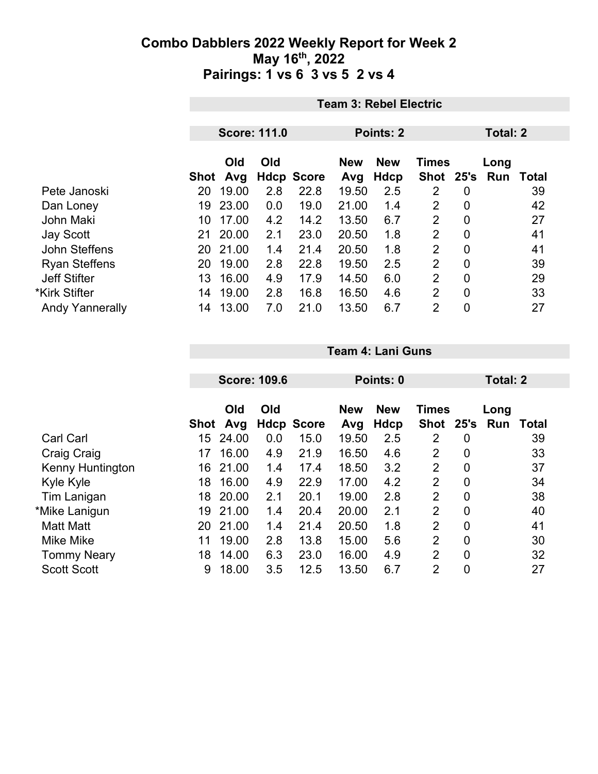|                        |      | <b>Team 3: Rebel Electric</b> |     |                   |                  |            |                |                 |      |       |
|------------------------|------|-------------------------------|-----|-------------------|------------------|------------|----------------|-----------------|------|-------|
|                        |      |                               |     |                   |                  |            |                |                 |      |       |
|                        |      | <b>Score: 111.0</b>           |     |                   | <b>Points: 2</b> |            |                | <b>Total: 2</b> |      |       |
|                        |      | Old<br>Old                    |     |                   | <b>New</b>       | <b>New</b> | <b>Times</b>   |                 | Long |       |
|                        | Shot | Avg                           |     | <b>Hdcp Score</b> | Avg              | Hdcp       | Shot 25's      |                 | Run  | Total |
| Pete Janoski           | 20   | 19.00                         | 2.8 | 22.8              | 19.50            | 2.5        | 2              | 0               |      | 39    |
| Dan Loney              | 19   | 23.00                         | 0.0 | 19.0              | 21.00            | 1.4        | $\overline{2}$ | 0               |      | 42    |
| John Maki              | 10   | 17.00                         | 4.2 | 14.2              | 13.50            | 6.7        | $\overline{2}$ | $\overline{0}$  |      | 27    |
| <b>Jay Scott</b>       | 21   | 20.00                         | 2.1 | 23.0              | 20.50            | 1.8        | 2              | $\overline{0}$  |      | 41    |
| John Steffens          | 20   | 21.00                         | 1.4 | 21.4              | 20.50            | 1.8        | $\overline{2}$ | $\overline{0}$  |      | 41    |
| <b>Ryan Steffens</b>   | 20   | 19.00                         | 2.8 | 22.8              | 19.50            | 2.5        | $\overline{2}$ | $\overline{0}$  |      | 39    |
| <b>Jeff Stifter</b>    | 13.  | 16.00                         | 4.9 | 17.9              | 14.50            | 6.0        | $\overline{2}$ | $\mathbf 0$     |      | 29    |
| *Kirk Stifter          | 14   | 19.00                         | 2.8 | 16.8              | 16.50            | 4.6        | 2              | $\mathbf{0}$    |      | 33    |
| <b>Andy Yannerally</b> | 14   | 13.00                         | 7.0 | 21.0              | 13.50            | 6.7        | 2              | $\mathbf 0$     |      | 27    |

|                         |             | <b>Score: 109.6</b> |     |                   |                   | Points: 0          |                      |                |             | Total: 2 |  |
|-------------------------|-------------|---------------------|-----|-------------------|-------------------|--------------------|----------------------|----------------|-------------|----------|--|
|                         | <b>Shot</b> | Old<br>Avg          | Old | <b>Hdcp Score</b> | <b>New</b><br>Avg | <b>New</b><br>Hdcp | <b>Times</b><br>Shot | 25's           | Long<br>Run | Total    |  |
| <b>Carl Carl</b>        | 15          | 24.00               | 0.0 | 15.0              | 19.50             | 2.5                | 2                    | 0              |             | 39       |  |
| Craig Craig             | 17          | 16.00               | 4.9 | 21.9              | 16.50             | 4.6                | 2                    | 0              |             | 33       |  |
| <b>Kenny Huntington</b> | 16          | 21.00               | 1.4 | 17.4              | 18.50             | 3.2                | $\overline{2}$       | $\overline{0}$ |             | 37       |  |
| Kyle Kyle               | 18          | 16.00               | 4.9 | 22.9              | 17.00             | 4.2                | 2                    | 0              |             | 34       |  |
| Tim Lanigan             | 18          | 20.00               | 2.1 | 20.1              | 19.00             | 2.8                | $\overline{2}$       | $\mathbf 0$    |             | 38       |  |
| *Mike Lanigun           | 19          | 21.00               | 1.4 | 20.4              | 20.00             | 2.1                | $\overline{2}$       | $\overline{0}$ |             | 40       |  |
| <b>Matt Matt</b>        | 20          | 21.00               | 1.4 | 21.4              | 20.50             | 1.8                | $\overline{2}$       | 0              |             | 41       |  |
| <b>Mike Mike</b>        | 11          | 19.00               | 2.8 | 13.8              | 15.00             | 5.6                | 2                    | 0              |             | 30       |  |
| <b>Tommy Neary</b>      | 18          | 14.00               | 6.3 | 23.0              | 16.00             | 4.9                | $\overline{2}$       | 0              |             | 32       |  |
| <b>Scott Scott</b>      | 9           | 18.00               | 3.5 | 12.5              | 13.50             | 6.7                | 2                    | 0              |             | 27       |  |

**Team 4: Lani Guns**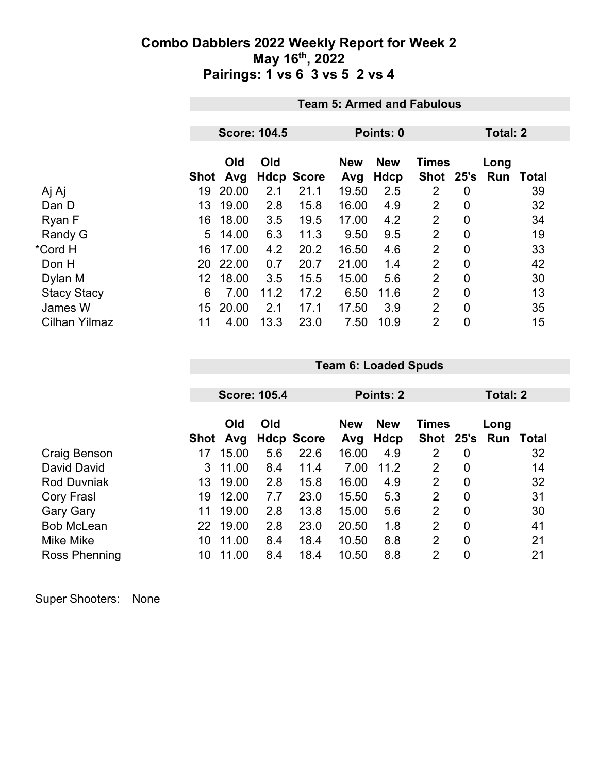|                    |      | <b>Team 5: Armed and Fabulous</b> |      |                   |                   |                    |                           |                  |             |              |
|--------------------|------|-----------------------------------|------|-------------------|-------------------|--------------------|---------------------------|------------------|-------------|--------------|
|                    |      |                                   |      |                   |                   |                    |                           |                  | Total: 2    |              |
|                    |      | <b>Score: 104.5</b>               |      |                   |                   | Points: 0          |                           |                  |             |              |
|                    | Shot | Old<br>Avg                        | Old  | <b>Hdcp Score</b> | <b>New</b><br>Avg | <b>New</b><br>Hdcp | <b>Times</b><br>Shot 25's |                  | Long<br>Run | <b>Total</b> |
| Aj Aj              | 19   | 20.00                             | 2.1  | 21.1              | 19.50             | 2.5                | 2                         | $\boldsymbol{0}$ |             | 39           |
| Dan D              | 13   | 19.00                             | 2.8  | 15.8              | 16.00             | 4.9                | $\overline{2}$            | $\mathbf 0$      |             | 32           |
| Ryan F             | 16   | 18.00                             | 3.5  | 19.5              | 17.00             | 4.2                | $\overline{2}$            | $\mathbf 0$      |             | 34           |
| Randy G            | 5.   | 14.00                             | 6.3  | 11.3              | 9.50              | 9.5                | 2                         | $\mathbf 0$      |             | 19           |
| *Cord H            | 16   | 17.00                             | 4.2  | 20.2              | 16.50             | 4.6                | $\overline{2}$            | $\mathbf 0$      |             | 33           |
| Don H              | 20   | 22.00                             | 0.7  | 20.7              | 21.00             | 1.4                | $\overline{2}$            | $\mathbf 0$      |             | 42           |
| Dylan M            | 12   | 18.00                             | 3.5  | 15.5              | 15.00             | 5.6                | $\overline{2}$            | $\overline{0}$   |             | 30           |
| <b>Stacy Stacy</b> | 6    | 7.00                              | 11.2 | 17.2              | 6.50              | 11.6               | $\overline{2}$            | $\overline{0}$   |             | 13           |
| James W            | 15   | 20.00                             | 2.1  | 17.1              | 17.50             | 3.9                | $\overline{2}$            | $\mathbf 0$      |             | 35           |
| Cilhan Yilmaz      | 11   | 4.00                              | 13.3 | 23.0              | 7.50              | 10.9               | $\overline{2}$            | $\mathbf 0$      |             | 15           |

|                    |      |       | <b>Score: 105.4</b> |                   | <b>Points: 2</b> |            |                |                | Total: 2 |       |
|--------------------|------|-------|---------------------|-------------------|------------------|------------|----------------|----------------|----------|-------|
|                    |      | Old   | Old                 |                   | <b>New</b>       | <b>New</b> | <b>Times</b>   |                | Long     |       |
|                    | Shot | Avg   |                     | <b>Hdcp Score</b> | Avg              | Hdcp       | Shot 25's      |                | Run      | Total |
| Craig Benson       |      | 15.00 | 5.6                 | 22.6              | 16.00            | 4.9        | 2              | 0              |          | 32    |
| David David        | 3.   | 11.00 | 8.4                 | 11.4              | 7.00             | 11.2       | $\overline{2}$ | 0              |          | 14    |
| <b>Rod Duvniak</b> | 13   | 19.00 | 2.8                 | 15.8              | 16.00            | 4.9        | 2              | 0              |          | 32    |
| Cory Frasl         | 19   | 12.00 | 7.7                 | 23.0              | 15.50            | 5.3        | $\overline{2}$ | 0              |          | 31    |
| <b>Gary Gary</b>   | 11   | 19.00 | 2.8                 | 13.8              | 15.00            | 5.6        | $\overline{2}$ | $\mathbf 0$    |          | 30    |
| <b>Bob McLean</b>  | 22   | 19.00 | 2.8                 | 23.0              | 20.50            | 1.8        | $\overline{2}$ | $\overline{0}$ |          | 41    |
| Mike Mike          | 10   | 11.00 | 8.4                 | 18.4              | 10.50            | 8.8        | 2              | 0              |          | 21    |
| Ross Phenning      | 10   | 11.00 | 8.4                 | 18.4              | 10.50            | 8.8        | $\overline{2}$ | 0              |          | 21    |

**Team 6: Loaded Spuds**

|  | Super Shooters: | <b>None</b> |
|--|-----------------|-------------|
|--|-----------------|-------------|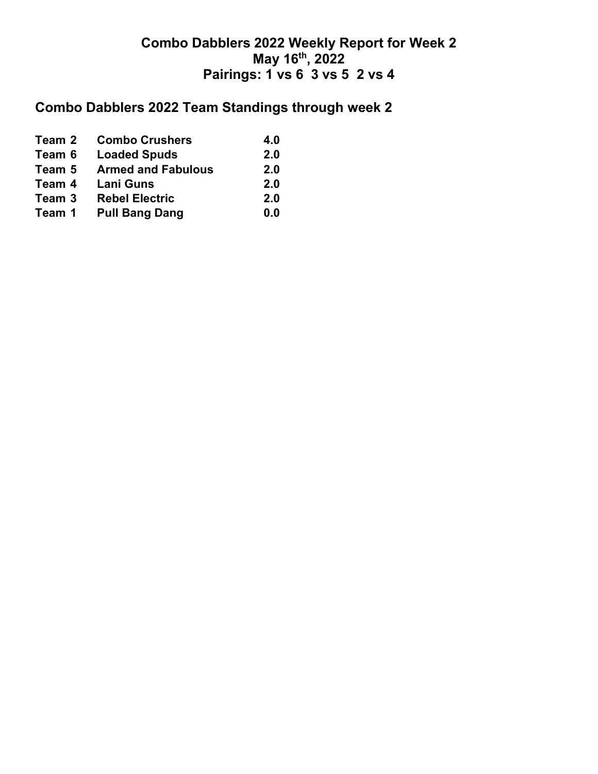## **Combo Dabblers 2022 Team Standings through week 2**

| Team 2 | <b>Combo Crushers</b>     | 4.0 |
|--------|---------------------------|-----|
| Team 6 | <b>Loaded Spuds</b>       | 2.0 |
| Team 5 | <b>Armed and Fabulous</b> | 2.0 |
| Team 4 | <b>Lani Guns</b>          | 2.0 |
| Team 3 | <b>Rebel Electric</b>     | 2.0 |
| Team 1 | <b>Pull Bang Dang</b>     | 0.0 |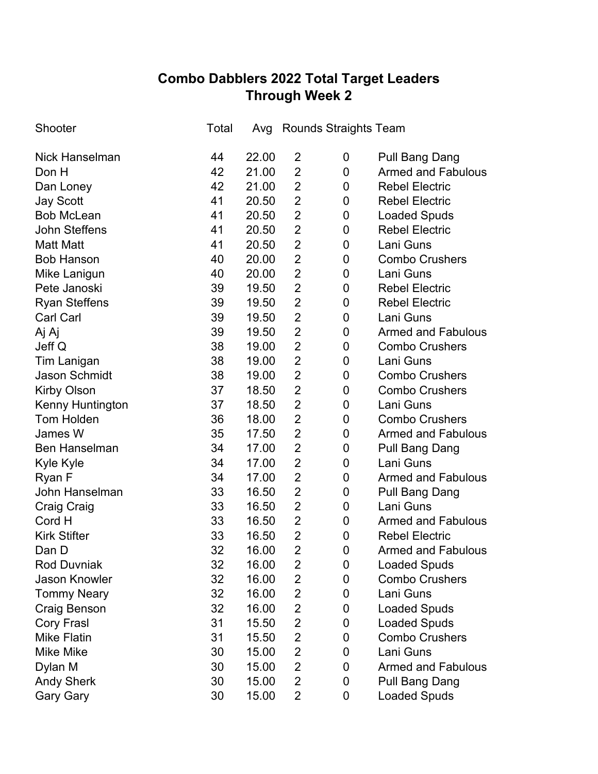# **Combo Dabblers 2022 Total Target Leaders Through Week 2**

| Shooter               | Total |       |                         | Avg Rounds Straights Team |                           |
|-----------------------|-------|-------|-------------------------|---------------------------|---------------------------|
| <b>Nick Hanselman</b> | 44    | 22.00 | $\overline{2}$          | 0                         | <b>Pull Bang Dang</b>     |
| Don H                 | 42    | 21.00 | $\overline{2}$          | 0                         | <b>Armed and Fabulous</b> |
| Dan Loney             | 42    | 21.00 | $\overline{2}$          | 0                         | <b>Rebel Electric</b>     |
| <b>Jay Scott</b>      | 41    | 20.50 | $\overline{2}$          | 0                         | <b>Rebel Electric</b>     |
| <b>Bob McLean</b>     | 41    | 20.50 | $\overline{2}$          | 0                         | <b>Loaded Spuds</b>       |
| <b>John Steffens</b>  | 41    | 20.50 | $\overline{2}$          | 0                         | <b>Rebel Electric</b>     |
| <b>Matt Matt</b>      | 41    | 20.50 | $\overline{2}$          | 0                         | Lani Guns                 |
| <b>Bob Hanson</b>     | 40    | 20.00 | $\overline{2}$          | 0                         | <b>Combo Crushers</b>     |
| Mike Lanigun          | 40    | 20.00 | $\overline{2}$          | 0                         | Lani Guns                 |
| Pete Janoski          | 39    | 19.50 | $\overline{2}$          | 0                         | <b>Rebel Electric</b>     |
| <b>Ryan Steffens</b>  | 39    | 19.50 | $\overline{2}$          | 0                         | <b>Rebel Electric</b>     |
| <b>Carl Carl</b>      | 39    | 19.50 | $\overline{2}$          | 0                         | Lani Guns                 |
| Aj Aj                 | 39    | 19.50 | $\overline{2}$          | 0                         | <b>Armed and Fabulous</b> |
| Jeff Q                | 38    | 19.00 | $\overline{2}$          | 0                         | <b>Combo Crushers</b>     |
| <b>Tim Lanigan</b>    | 38    | 19.00 | $\overline{2}$          | 0                         | Lani Guns                 |
| <b>Jason Schmidt</b>  | 38    | 19.00 | $\overline{2}$          | 0                         | <b>Combo Crushers</b>     |
| <b>Kirby Olson</b>    | 37    | 18.50 | $\overline{2}$          | 0                         | <b>Combo Crushers</b>     |
| Kenny Huntington      | 37    | 18.50 | $\overline{2}$          | $\mathbf 0$               | Lani Guns                 |
| <b>Tom Holden</b>     | 36    | 18.00 | $\overline{2}$          | 0                         | <b>Combo Crushers</b>     |
| James W               | 35    | 17.50 | 2                       | 0                         | <b>Armed and Fabulous</b> |
| <b>Ben Hanselman</b>  | 34    | 17.00 | $\overline{2}$          | 0                         | <b>Pull Bang Dang</b>     |
| Kyle Kyle             | 34    | 17.00 | $\overline{2}$          | 0                         | Lani Guns                 |
| Ryan F                | 34    | 17.00 | $\overline{2}$          | 0                         | <b>Armed and Fabulous</b> |
| John Hanselman        | 33    | 16.50 | $\overline{2}$          | 0                         | <b>Pull Bang Dang</b>     |
| <b>Craig Craig</b>    | 33    | 16.50 | $\overline{2}$          | 0                         | Lani Guns                 |
| Cord H                | 33    | 16.50 | $\overline{2}$          | 0                         | <b>Armed and Fabulous</b> |
| <b>Kirk Stifter</b>   | 33    | 16.50 | $\overline{2}$          | 0                         | <b>Rebel Electric</b>     |
| Dan D                 | 32    | 16.00 | $\overline{2}$          | $\mathbf 0$               | <b>Armed and Fabulous</b> |
| <b>Rod Duvniak</b>    | 32    | 16.00 | 2                       | 0                         | <b>Loaded Spuds</b>       |
| <b>Jason Knowler</b>  | 32    | 16.00 | $\overline{2}$          | 0                         | <b>Combo Crushers</b>     |
| <b>Tommy Neary</b>    | 32    | 16.00 | $\overline{\mathbf{c}}$ | 0                         | Lani Guns                 |
| Craig Benson          | 32    | 16.00 | $\overline{\mathbf{c}}$ | 0                         | <b>Loaded Spuds</b>       |
| <b>Cory Frasl</b>     | 31    | 15.50 | $\overline{2}$          | 0                         | <b>Loaded Spuds</b>       |
| <b>Mike Flatin</b>    | 31    | 15.50 | $\overline{c}$          | 0                         | <b>Combo Crushers</b>     |
| <b>Mike Mike</b>      | 30    | 15.00 | $\overline{\mathbf{c}}$ | 0                         | Lani Guns                 |
| Dylan M               | 30    | 15.00 | $\overline{2}$          | 0                         | <b>Armed and Fabulous</b> |
| <b>Andy Sherk</b>     | 30    | 15.00 | $\overline{2}$          | 0                         | Pull Bang Dang            |
| <b>Gary Gary</b>      | 30    | 15.00 | $\overline{2}$          | 0                         | <b>Loaded Spuds</b>       |